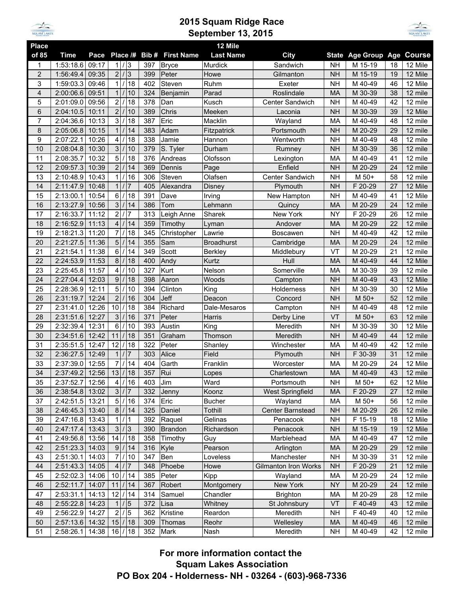

## **2015 Squam Ridge Race September 13, 2015**



| <b>Place</b>     |                 |       |                            |                |         |                         | 12 Mile           |                             |           |                            |    |         |
|------------------|-----------------|-------|----------------------------|----------------|---------|-------------------------|-------------------|-----------------------------|-----------|----------------------------|----|---------|
| of 85            | <b>Time</b>     | Pace  | Place /#                   |                |         | <b>Bib # First Name</b> | <b>Last Name</b>  | <b>City</b>                 |           | State Age Group Age Course |    |         |
| 1                | 1:53:18.6       | 09:17 | 1/3                        |                | 397     | <b>Bryce</b>            | Murdick           | Sandwich                    | <b>NH</b> | M 15-19                    | 18 | 12 Mile |
| $\overline{2}$   | 1:56:49.4       | 09:35 | $\overline{2}$             | /3             | 399     | Peter                   | Howe              | Gilmanton                   | <b>NH</b> | M 15-19                    | 19 | 12 Mile |
| 3                | 1:59:03.3       | 09:46 | 1<br>$\prime$              | 18             | 402     | Steven                  | Ruhm              | Exeter                      | <b>NH</b> | M 40-49                    | 46 | 12 Mile |
| $\overline{4}$   | 2:00:06.6       | 09:51 | $\mathbf{1}$               | 10             | 324     | Benjamin                | Parad             | Roslindale                  | <b>MA</b> | M 30-39                    | 38 | 12 mile |
| 5                | 2:01:09.0       | 09:56 | $\overline{2}$             | 18             | 378     | Dan                     | Kusch             | Center Sandwich             | <b>NH</b> | M 40-49                    | 42 | 12 mile |
| 6                | 2:04:10.5       | 10:11 | $\overline{2}$             | 10             | 389     | Chris                   | Meeken            | Laconia                     | <b>NH</b> | M 30-39                    | 39 | 12 Mile |
| $\overline{7}$   | 2:04:36.6       | 10:13 | 3                          | 18             | 387     | Eric                    | Macklin           | Wayland                     | MA        | M 40-49                    | 48 | 12 mile |
| 8                | 2:05:06.8       | 10:15 | 1                          | 14             | 383     | Adam                    | Fitzpatrick       | Portsmouth                  | <b>NH</b> | M 20-29                    | 29 | 12 mile |
| $\boldsymbol{9}$ | 2:07:22.1       | 10:26 | 4                          | 18             | 338     | Jamie                   | Hannon            | Wentworth                   | <b>NH</b> | M 40-49                    | 48 | 12 mile |
| 10               | 2:08:04.8       | 10:30 | 3                          | 10             | 379     | S. Tyler                | Durham            | Rumney                      | <b>NH</b> | M 30-39                    | 36 | 12 mile |
| 11               | 2:08:35.7       | 10:32 | 5                          | 18             | 376     | Andreas                 | Olofsson          | Lexington                   | MA        | M 40-49                    | 41 | 12 mile |
| 12               | 2:09:57.3       | 10:39 | $\overline{2}$             | 14             | 369     | Dennis                  | Page              | Enfield                     | <b>NH</b> | M 20-29                    | 24 | 12 mile |
| 13               | 2:10:48.9       | 10:43 | $\mathbf{1}$               | 16             | 306     | Steven                  | Olafsen           | Center Sandwich             | <b>NH</b> | M 50+                      | 58 | 12 mile |
| 14               | 2:11:47.9       | 10:48 | $\mathbf{1}$               | $\overline{7}$ | 405     | Alexandra               | <b>Disney</b>     | Plymouth                    | <b>NH</b> | F 20-29                    | 27 | 12 Mile |
| 15               | 2:13:00.1       | 10:54 | 6                          | 18             | 391     | Dave                    | Irving            | New Hampton                 | <b>NH</b> | M 40-49                    | 41 | 12 Mile |
| 16               | 2:13:27.9       | 10:56 | 3                          | 14             | 386     | Tom                     | Lehmann           | Quincy                      | <b>MA</b> | M 20-29                    | 24 | 12 mile |
| 17               | 2:16:33.7       | 11:12 | $\overline{c}$             | 7              | 313     | Leigh Anne              | Sharek            | New York                    | <b>NY</b> | F 20-29                    | 26 | 12 mile |
| 18               | 2:16:52.9       | 11:13 | $\overline{4}$             | 14             | 359     | Timothy                 | Lyman             | Andover                     | <b>MA</b> | M 20-29                    | 22 | 12 mile |
| 19               | 2:18:21.3       | 11:20 | $\overline{7}$             | 18             | 345     | Christopher             | Lawrie            | <b>Boscawen</b>             | <b>NH</b> | M 40-49                    | 42 | 12 mile |
| 20               | 2:21:27.5       | 11:36 | 5                          | 14             | 355     | Sam                     | <b>Broadhurst</b> | Cambridge                   | <b>MA</b> | M 20-29                    | 24 | 12 mile |
| 21               | 2:21:54.1       | 11:38 | $6\phantom{a}$             | 14             | 349     | Scott                   | <b>Berkley</b>    | Middlebury                  | VT        | M 20-29                    | 21 | 12 mile |
| 22               | 2:24:53.9       | 11:53 | 8                          | 18             | 400     | Andy                    | Kurtz             | Hull                        | <b>MA</b> | M 40-49                    | 44 | 12 Mile |
| 23               | 2:25:45.8       | 11:57 | $\overline{4}$             | 10             | 327     | Kurt                    | Nelson            | Somerville                  | MA        | M 30-39                    | 39 | 12 mile |
| 24               | 2:27:04.4       | 12:03 | 9                          | 18             | 398     | Aaron                   | Woods             | Campton                     | <b>NH</b> | M 40-49                    | 43 | 12 Mile |
| 25               | 2:28:36.9       | 12:11 | 5                          | 10             | 394     | Clinton                 | King              | Holderness                  | <b>NH</b> | M 30-39                    | 30 | 12 Mile |
| 26               | 2:31:19.7       | 12:24 | $\overline{2}$             | 16             | 304     | Jeff                    | Deacon            | Concord                     | <b>NH</b> | M 50+                      | 52 | 12 mile |
| 27               | 2:31:41.0       | 12:26 | 10                         | 18             | 384     | Richard                 | Dale-Mesaros      | Campton                     | <b>NH</b> | M 40-49                    | 48 | 12 mile |
| 28               | 2:31:51.6       | 12:27 | 3                          | 16             | 371     | Peter                   | Harris            | Derby Line                  | VT        | M 50+                      | 63 | 12 mile |
| 29               | 2:32:39.4       | 12:31 | 6                          | 10             | 393     | Austin                  | King              | Meredith                    | <b>NH</b> | M 30-39                    | 30 | 12 Mile |
| 30               | 2:34:51.6       | 12:42 | 11                         | 18             | 351     | Graham                  | Thomson           | Meredith                    | <b>NH</b> | M 40-49                    | 44 | 12 mile |
| 31               | 2:35:51.5       | 12:47 | 12                         | 18             | 322     | Peter                   | Shanley           | Winchester                  | MA        | M 40-49                    | 42 | 12 mile |
| 32               | 2:36:27.5       | 12:49 | $\mathbf{1}$               | $\overline{7}$ | 303     | Alice                   | Field             | Plymouth                    | <b>NH</b> | F 30-39                    | 31 | 12 mile |
| 33               | 2:37:39.0       | 12:55 | $\overline{7}$             | 14             | 404     | Garth                   | Franklin          | Worcester                   | MA        | M 20-29                    | 24 | 12 Mile |
| 34               | 2:37:49.2       | 12:56 | 13                         | $1$ 18         | 357     | Rui                     | Lopes             | Charlestown                 | <b>MA</b> | M 40-49                    | 43 | 12 mile |
| 35               | 2:37:52.7 12:56 |       | 4/16                       |                | 403 Jim |                         | Ward              | Portsmouth                  | <b>NH</b> | M 50+                      | 62 | 12 Mile |
| 36               | 2:38:54.8 13:02 |       | 3 <sup>1</sup>             | /7             | 332     | Jenny                   | Koonz             | West Springfield            | MA        | F 20-29                    | 27 | 12 mile |
| 37               | 2:42:51.5 13:21 |       | 5 <sub>5</sub><br>$\prime$ | 16             | 374     | Eric                    | <b>Bucher</b>     | Wayland                     | MA        | M 50+                      | 56 | 12 mile |
| 38               | 2:46:45.3 13:40 |       | 8 <sup>1</sup>             | /14            | 325     | Daniel                  | Tothill           | Center Barnstead            | <b>NH</b> | M 20-29                    | 26 | 12 mile |
| 39               | 2:47:16.8 13:43 |       | 1                          | 1              | 392     | Raquel                  | Gelinas           | Penacook                    | <b>NH</b> | F 15-19                    | 18 | 12 Mile |
| 40               | 2:47:17.4       | 13:43 | $\mathbf{3}$               | /3             | 390     | Brandon                 | Richardson        | Penacook                    | <b>NH</b> | M 15-19                    | 19 | 12 Mile |
| 41               | 2:49:56.8 13:56 |       | 14                         | 18             | 358     | Timothy                 | Guy               | Marblehead                  | MA        | M 40-49                    | 47 | 12 mile |
| 42               | 2:51:23.3 14:03 |       | 9                          | 14             | 316     | Kyle                    | Pearson           | Arlington                   | MA        | M 20-29                    | 29 | 12 mile |
| 43               | 2:51:30.1       | 14:03 | $\overline{7}$             | 10             | 347     | Ben                     | Loveless          | Manchester                  | NΗ        | M 30-39                    | 31 | 12 mile |
| 44               | 2:51:43.3 14:05 |       | 4                          | $\overline{7}$ | 348     | Phoebe                  | Howe              | <b>Gilmanton Iron Works</b> | <b>NH</b> | F 20-29                    | 21 | 12 mile |
| 45               | 2:52:02.3 14:06 |       | 10                         | 14             | 385     | Peter                   | Kipp              | Wayland                     | MA        | M 20-29                    | 24 | 12 mile |
| 46               | 2:52:11.7       | 14:07 | 11                         | 14             | 367     | Robert                  | Montgomery        | New York                    | <b>NY</b> | M 20-29                    | 24 | 12 mile |
| 47               | 2:53:31.1       | 14:13 | 12                         | 14             | 314     | Samuel                  | Chandler          | <b>Brighton</b>             | MA        | M 20-29                    | 28 | 12 mile |
| 48               | 2:55:22.8       | 14:23 | $\mathbf{1}$               | /5             | 372     | Lisa                    | Whitney           | St Johnsbury                | VT        | F 40-49                    | 43 | 12 mile |
| 49               | 2:56:22.9       | 14:27 | $\overline{2}$             | /5             | 362     | Kristine                | Reardon           | Meredith                    | <b>NH</b> | F40-49                     | 40 | 12 mile |
| 50               | 2:57:13.6       | 14:32 | 15/18                      |                | 309     | Thomas                  | Reohr             | Wellesley                   | <b>MA</b> | M 40-49                    | 46 | 12 mile |
| 51               | 2:58:26.1       | 14:38 | $16$ / 18                  |                | 352     | Mark                    | Nash              | Meredith                    | <b>NH</b> | M 40-49                    | 42 | 12 mile |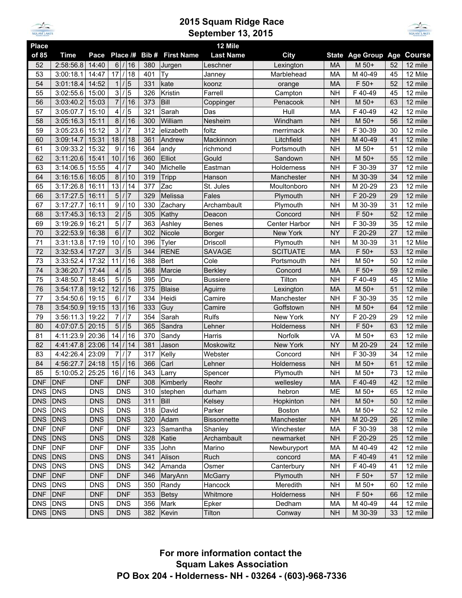

## **2015 Squam Ridge Race September 13, 2015**



| <b>Place</b>          |             |                                        |                          |                |            |                        | 12 Mile            |                      |                        |                            |          |                          |
|-----------------------|-------------|----------------------------------------|--------------------------|----------------|------------|------------------------|--------------------|----------------------|------------------------|----------------------------|----------|--------------------------|
| of 85                 | <b>Time</b> | Pace                                   | Place /#                 |                |            | <b>Bib# First Name</b> | <b>Last Name</b>   | <b>City</b>          |                        | State Age Group Age Course |          |                          |
| 52                    | 2:58:56.8   | 14:40                                  | $\overline{6}$ / 16      |                | 380        | Jurgen                 | Leschner           | Lexington            | <b>MA</b>              | M 50+                      | 52       | $12$ mile                |
| 53                    | 3:00:18.1   | 14:47                                  | 17                       | /18            | 401        | <b>Ty</b>              | Janney             | Marblehead           | MA                     | M 40-49                    | 45       | 12 Mile                  |
| 54                    | 3:01:18.4   | 14:52                                  | $\mathbf{1}$             | 5              | 331        | kate                   | koonz              | orange               | <b>MA</b>              | F 50+                      | 52       | 12 mile                  |
| 55                    | 3:02:55.6   | 15:00                                  | $\mathbf{3}$             | 5              | 326        | Kristin                | Farrell            | Campton              | <b>NH</b>              | F40-49                     | 45       | 12 mile                  |
| 56                    | 3:03:40.2   | 15:03                                  | $\overline{7}$           | 16             | 373        | Bill                   | Coppinger          | Penacook             | <b>NH</b>              | M 50+                      | 63       | 12 mile                  |
| 57                    | 3:05:07.7   | 15:10                                  | 4                        | 5              | 321        | Sarah                  | Das                | Hull                 | MA                     | F40-49                     | 42       | 12 mile                  |
| 58                    | 3:05:16.3   | 15:11                                  | 8                        | 16             | 300        | William                | Nesheim            | Windham              | <b>NH</b>              | M 50+                      | 56       | 12 mile                  |
| 59                    | 3:05:23.6   | 15:12                                  | 3                        | 7              | 312        | elizabeth              | foltz              | merrimack            | <b>NH</b>              | F 30-39                    | 30       | 12 mile                  |
| 60                    | 3:09:14.7   | 15:31                                  | 18                       | 18             | 361        | Andrew                 | Mackinnon          | Litchfield           | <b>NH</b>              | M 40-49                    | 41       | 12 mile                  |
| 61                    | 3:09:33.2   | 15:32                                  | 9                        | 16             | 364        | andy                   | richmond           | Portsmouth           | <b>NH</b>              | M 50+                      | 51       | 12 mile                  |
| 62                    | 3:11:20.6   | 15:41                                  | 10                       | 16             | 360        | Elliot                 | Gould              | Sandown              | <b>NH</b>              | M 50+                      | 55       | 12 mile                  |
| 63                    | 3:14:06.5   | 15:55                                  | 4                        | $\overline{7}$ | 340        | Michelle               | Eastman            | Holderness           | <b>NH</b>              | F 30-39                    | 37       | 12 mile                  |
| 64                    | 3:16:15.6   | 16:05                                  | $\bf 8$                  | 10             | 319        | Tripp                  | Hanson             | Manchester           | <b>NH</b>              | M 30-39                    | 34       | 12 mile                  |
| 65                    | 3:17:26.8   | 16:11                                  | 13                       | 14             | 377        | Zac                    | St. Jules          | Moultonboro          | <b>NH</b>              | M 20-29                    | 23       | 12 mile                  |
| 66                    | 3:17:27.5   | 16:11                                  | 5                        | $\overline{7}$ | 329        | Melissa                | Fales              | Plymouth             | <b>NH</b>              | F 20-29                    | 29       | 12 mile                  |
| 67                    | 3:17:27.7   | 16:11                                  | 9                        | /10            | 330        | Zachary                | Archambault        | Plymouth             | <b>NH</b>              | M 30-39                    | 31       | 12 mile                  |
| 68                    | 3:17:45.3   | 16:13                                  | $\overline{2}$           | $1\vert 5$     | 305        | Kathy                  | Deacon             | Concord              | <b>NH</b>              | F 50+                      | 52       | 12 mile                  |
| 69                    | 3:19:26.9   | 16:21                                  | 5                        | /7             | 363        | Ashley                 | <b>Benes</b>       | Center Harbor        | <b>NH</b>              | F 30-39                    | 35       | 12 mile                  |
| 70                    | 3:22:53.9   | 16:38                                  | 6                        | 7              | 302        | Nicole                 | <b>Borger</b>      | New York             | <b>NY</b>              | F 20-29                    | 27       | 12 mile                  |
| 71                    | 3:31:13.8   | 17:19                                  | 10                       | 10             | 396        | Tyler                  | Driscoll           | Plymouth             | <b>NH</b>              | M 30-39                    | 31       | 12 Mile                  |
| 72                    | 3:32:53.4   | 17:27                                  | 3                        | $\overline{5}$ | 344        | <b>RENE</b>            | <b>SAVAGE</b>      | <b>SCITUATE</b>      | <b>MA</b>              | F 50+                      | 53       | 12 mile                  |
| 73                    | 3:33:52.4   | 17:32                                  | 11                       | 16             | 388        | <b>Bert</b>            | Cole               | Portsmouth           | <b>NH</b>              | M 50+                      | 50       | 12 mile                  |
| 74                    | 3:36:20.7   | 17:44                                  | 4                        | $\sqrt{5}$     | 368        | Marcie                 | <b>Berkley</b>     | Concord              | MA                     | $F 50+$                    | 59       | 12 mile                  |
| 75                    | 3:48:50.7   | 18:45                                  | 5                        | 5              | 395        | Dru                    | <b>Bussiere</b>    | Tilton               | <b>NH</b>              | F40-49                     | 45       | 12 Mile                  |
| 76                    | 3:54:17.8   | 19:12                                  | 12                       | 16             | 375        | <b>Blaise</b>          | Aguirre            | Lexington            | <b>MA</b>              | M 50+                      | 51       | 12 mile                  |
| 77                    | 3:54:50.6   | 19:15                                  | 6                        | 7              | 334        | Heidi                  | Camire             | Manchester           | <b>NH</b>              | F 30-39                    | 35       | 12 mile                  |
| 78                    | 3:54:50.9   | 19:15                                  | 13                       | 16             | 333        | Guy                    | Camire             | Goffstown            | <b>NH</b>              | M 50+                      | 64       | 12 mile                  |
| 79                    | 3:56:11.3   | 19:22                                  | $\overline{7}$           | 17             | 354        | Sarah                  | <b>Rulfs</b>       | New York             | <b>NY</b>              | F 20-29                    | 29       | 12 mile                  |
| 80                    | 4:07:07.5   | 20:15                                  | 5                        | 5              | 365        | Sandra                 | Lehner             | Holderness           | <b>NH</b>              | F 50+                      | 63       | 12 mile                  |
| 81                    | 4:11:23.9   | 20:36                                  | 14                       | 16             | 370        | Sandy                  | Harris             | Norfolk              | VA                     | M 50+                      | 63       | 12 mile                  |
| 82                    | 4:41:47.8   | 23:06                                  | 14                       | 14             | 381        | Jason                  | Moskowitz          | New York             | <b>NY</b>              | M 20-29                    | 24       | 12 mile                  |
| 83                    | 4:42:26.4   | 23:09                                  | $\overline{7}$           | 17             | 317        | Kelly                  | Webster            | Concord              | <b>NH</b>              | F 30-39                    | 34       | 12 mile                  |
| 84                    | 4:56:27.7   | 24:18                                  | 15                       | /16            | 366        | Carl                   | Lehner             | Holderness           | <b>NH</b>              | M 50+                      | 61       | 12 mile                  |
| 85                    | 5:10:05.2   | 25:25                                  | 16                       | 1/16           | 343        | Larry                  | Spencer            | Plymouth             | <b>NH</b>              | M 50+                      | 73       | 12 mile                  |
| DNF DNF               |             | DNF DNF                                |                          |                |            | 308 Kimberly           | Reohr              | wellesley            | MA                     | F 40-49                    |          | $42 \overline{)12}$ mile |
| <b>DNS</b>            | DNS         | <b>DNS</b>                             | <b>DNS</b>               |                | 310        | stephen                | durham             | hebron               | ME                     | M 50+                      | 65       | 12 mile                  |
| <b>DNS</b>            | DNS         | <b>DNS</b>                             | <b>DNS</b>               |                | 311        | Bill                   | Kelsey             | Hopkinton            | <b>NH</b>              | M 50+                      | 50       | 12 mile                  |
| DNS DNS               |             | <b>DNS</b>                             | <b>DNS</b>               |                | 318        | David                  | Parker             | Boston               | MA                     | M 50+                      | 52       | 12 mile                  |
| <b>DNS</b>            | DNS         | <b>DNS</b>                             |                          |                | 320        | Adam                   | <b>Bissonnette</b> | Manchester           | <b>NH</b>              | M 20-29                    | 26       | 12 mile                  |
| <b>DNF</b>            | DNF         | <b>DNF</b>                             | <b>DNS</b><br><b>DNF</b> |                | 323        | Samantha               | Shanley            | Winchester           | MA                     | F 30-39                    | 38       | 12 mile                  |
| <b>DNS</b>            | DNS         | <b>DNS</b>                             |                          |                | 328        | Katie                  | Archambault        | newmarket            | <b>NH</b>              | F 20-29                    | 25       | 12 mile                  |
| <b>DNF</b>            | <b>DNF</b>  | <b>DNF</b>                             | <b>DNS</b><br><b>DNF</b> |                | 335        | John                   |                    | Newburyport          |                        | M 40-49                    | 42       |                          |
| DNS DNS               |             | <b>DNS</b>                             | <b>DNS</b>               |                |            |                        | Marino<br>Ruch     | concord              | МA<br>MA               | F 40-49                    | 41       | 12 mile<br>12 mile       |
| <b>DNS</b>            | DNS         |                                        | <b>DNS</b>               |                | 341<br>342 | Alison<br>Amanda       |                    | Canterbury           | <b>NH</b>              | F 40-49                    | 41       | 12 mile                  |
| DNF DNF               |             | <b>DNS</b><br><b>DNF</b><br><b>DNF</b> |                          |                |            | Osmer                  |                    |                      | F 50+                  |                            |          |                          |
| DNS DNS               |             |                                        | <b>DNS</b>               |                | 346        | MaryAnn                | <b>McGarry</b>     | Plymouth             | <b>NH</b><br><b>NH</b> | M 50+                      | 57       | 12 mile                  |
|                       |             | <b>DNS</b>                             | <b>DNF</b>               |                | 350        | Randy                  | Hancock            | Meredith             |                        |                            | 60       | 12 mile                  |
| DNF DNF<br><b>DNS</b> | <b>DNS</b>  | <b>DNF</b><br><b>DNS</b>               | <b>DNS</b>               |                | 353<br>356 | Betsy<br>Mark          | Whitmore           | Holderness<br>Dedham | <b>NH</b><br>MA        | F 50+<br>M 40-49           | 66<br>44 | 12 mile<br>12 mile       |
|                       |             |                                        | <b>DNS</b>               |                |            |                        | Epker              |                      |                        |                            |          |                          |
| <b>DNS</b>            | DNS         | <b>DNS</b>                             |                          |                | 382        | Kevin                  | Tilton             | Conway               | <b>NH</b>              | M 30-39                    | 33       | 12 mile                  |

**For more information contact the Squam Lakes Association PO Box 204 - Holderness- NH - 03264 - (603)-968-7336**